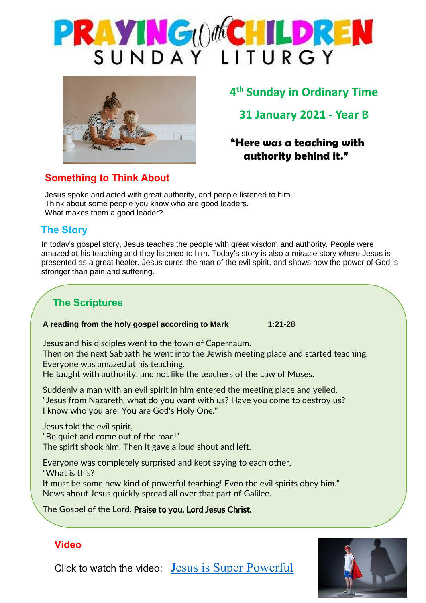



# **4 th Sunday in Ordinary Time**

**31 January 2021 - Year B**

### **"Here was a teaching with authority behind it."**

### Jesus spoke and acted with great authority, and people listened to him. Think about some people you know who are good leaders.

What makes them a good leader?

**Something to Think About**

### **The Story**

In today's gospel story, Jesus teaches the people with great wisdom and authority. People were amazed at his teaching and they listened to him. Today's story is also a miracle story where Jesus is presented as a great healer. Jesus cures the man of the evil spirit, and shows how the power of God is stronger than pain and suffering.

## **The Scriptures**

### **A reading from the holy gospel according to Mark 1:21-28**

Jesus and his disciples went to the town of Capernaum. Then on the next Sabbath he went into the Jewish meeting place and started teaching. Everyone was amazed at his teaching. He taught with authority, and not like the teachers of the Law of Moses.

Suddenly a man with an evil spirit in him entered the meeting place and yelled, "Jesus from Nazareth, what do you want with us? Have you come to destroy us? I know who you are! You are God's Holy One."

Jesus told the evil spirit, "Be quiet and come out of the man!" The spirit shook him. Then it gave a loud shout and left.

Everyone was completely surprised and kept saying to each other, "What is this? It must be some new kind of powerful teaching! Even the evil spirits obey him." News about Jesus quickly spread all over that part of Galilee.

The Gospel of the Lord. Praise to you, Lord Jesus Christ.

### The Gospel of the Lord. **Praise to you, Lord Jesus Christ. Video**

.

Click to watch the video: [Jesus is Super Powerful](https://www.youtube.com/watch?v=P6uVWEma1hg)

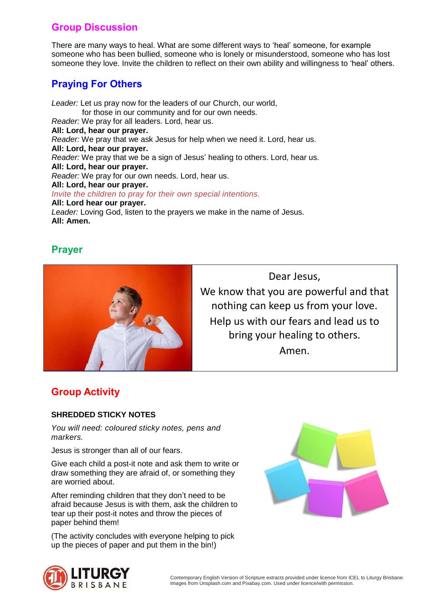### **Group Discussion**

There are many ways to heal. What are some different ways to 'heal' someone, for example someone who has been bullied, someone who is lonely or misunderstood, someone who has lost someone they love. Invite the children to reflect on their own ability and willingness to 'heal' others.

### **Praying For Others**

*Leader:* Let us pray now for the leaders of our Church, our world, for those in our community and for our own needs. *Reader:* We pray for all leaders. Lord, hear us. **All: Lord, hear our prayer.** *Reader:* We pray that we ask Jesus for help when we need it. Lord, hear us. **All: Lord, hear our prayer.** *Reader:* We pray that we be a sign of Jesus' healing to others. Lord, hear us. **All: Lord, hear our prayer.** *Reader:* We pray for our own needs. Lord, hear us. **All: Lord, hear our prayer.** *Invite the children to pray for their own special intentions.* **All: Lord hear our prayer.** *Leader:* Loving God, listen to the prayers we make in the name of Jesus. **All: Amen.**

### **Prayer**



Dear Jesus, We know that you are powerful and that nothing can keep us from your love. Help us with our fears and lead us to bring your healing to others. Amen.

### **Group Activity**

### **SHREDDED STICKY NOTES**

*You will need: coloured sticky notes, pens and markers.*

Jesus is stronger than all of our fears.

Give each child a post-it note and ask them to write or draw something they are afraid of, or something they are worried about.

After reminding children that they don't need to be afraid because Jesus is with them, ask the children to tear up their post-it notes and throw the pieces of paper behind them!

(The activity concludes with everyone helping to pick up the pieces of paper and put them in the bin!)